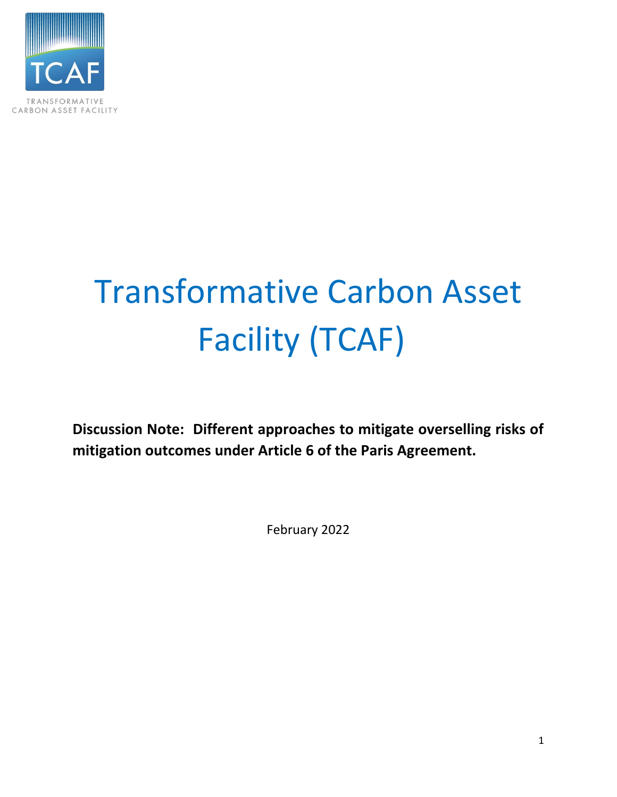

# Transformative Carbon Asset Facility (TCAF)

**Discussion Note: Different approaches to mitigate overselling risks of mitigation outcomes under Article 6 of the Paris Agreement.**

February 2022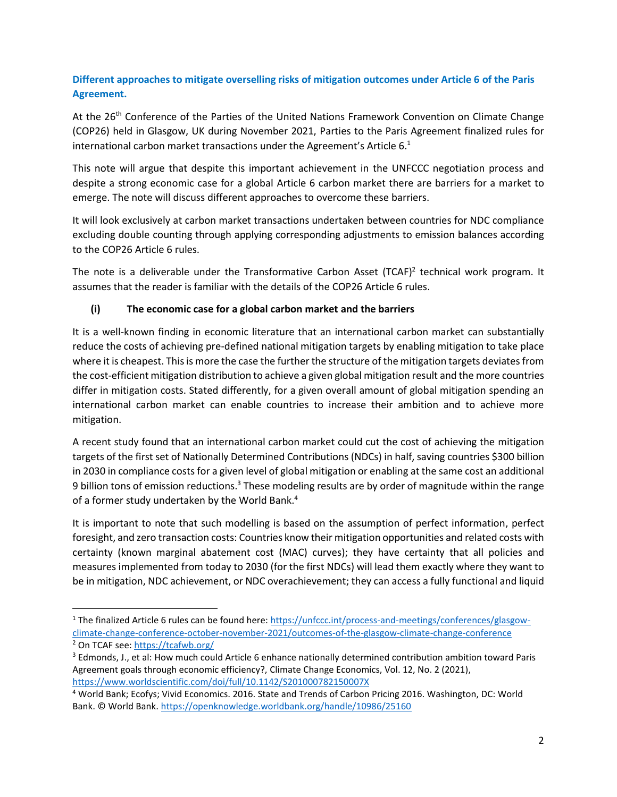## **Different approaches to mitigate overselling risks of mitigation outcomes under Article 6 of the Paris Agreement.**

At the 26<sup>th</sup> Conference of the Parties of the United Nations Framework Convention on Climate Change (COP26) held in Glasgow, UK during November 2021, Parties to the Paris Agreement finalized rules for international carbon market transactions under the Agreement's Article 6. $^{1}$ 

This note will argue that despite this important achievement in the UNFCCC negotiation process and despite a strong economic case for a global Article 6 carbon market there are barriers for a market to emerge. The note will discuss different approaches to overcome these barriers.

It will look exclusively at carbon market transactions undertaken between countries for NDC compliance excluding double counting through applying corresponding adjustments to emission balances according to the COP26 Article 6 rules.

The note is a deliverable under the Transformative Carbon Asset (TCAF)<sup>2</sup> technical work program. It assumes that the reader is familiar with the details of the COP26 Article 6 rules.

#### **(i) The economic case for a global carbon market and the barriers**

It is a well-known finding in economic literature that an international carbon market can substantially reduce the costs of achieving pre-defined national mitigation targets by enabling mitigation to take place where it is cheapest. This is more the case the further the structure of the mitigation targets deviates from the cost-efficient mitigation distribution to achieve a given global mitigation result and the more countries differ in mitigation costs. Stated differently, for a given overall amount of global mitigation spending an international carbon market can enable countries to increase their ambition and to achieve more mitigation.

A recent study found that an international carbon market could cut the cost of achieving the mitigation targets of the first set of Nationally Determined Contributions (NDCs) in half, saving countries \$300 billion in 2030 in compliance costs for a given level of global mitigation or enabling at the same cost an additional 9 billion tons of emission reductions.<sup>3</sup> These modeling results are by order of magnitude within the range of a former study undertaken by the World Bank.<sup>4</sup>

It is important to note that such modelling is based on the assumption of perfect information, perfect foresight, and zero transaction costs: Countries know their mitigation opportunities and related costs with certainty (known marginal abatement cost (MAC) curves); they have certainty that all policies and measures implemented from today to 2030 (for the first NDCs) will lead them exactly where they want to be in mitigation, NDC achievement, or NDC overachievement; they can access a fully functional and liquid

<sup>&</sup>lt;sup>1</sup> The finalized Article 6 rules can be found here[: https://unfccc.int/process-and-meetings/conferences/glasgow](https://unfccc.int/process-and-meetings/conferences/glasgow-climate-change-conference-october-november-2021/outcomes-of-the-glasgow-climate-change-conference)[climate-change-conference-october-november-2021/outcomes-of-the-glasgow-climate-change-conference](https://unfccc.int/process-and-meetings/conferences/glasgow-climate-change-conference-october-november-2021/outcomes-of-the-glasgow-climate-change-conference) <sup>2</sup> On TCAF see:<https://tcafwb.org/>

<sup>&</sup>lt;sup>3</sup> Edmonds, J., et al: How much could Article 6 enhance nationally determined contribution ambition toward Paris Agreement goals through economic efficiency?, Climate Change Economics, Vol. 12, No. 2 (2021), <https://www.worldscientific.com/doi/full/10.1142/S201000782150007X>

<sup>4</sup> World Bank; Ecofys; Vivid Economics. 2016. State and Trends of Carbon Pricing 2016. Washington, DC: World Bank. © World Bank[. https://openknowledge.worldbank.org/handle/10986/25160](https://openknowledge.worldbank.org/handle/10986/25160)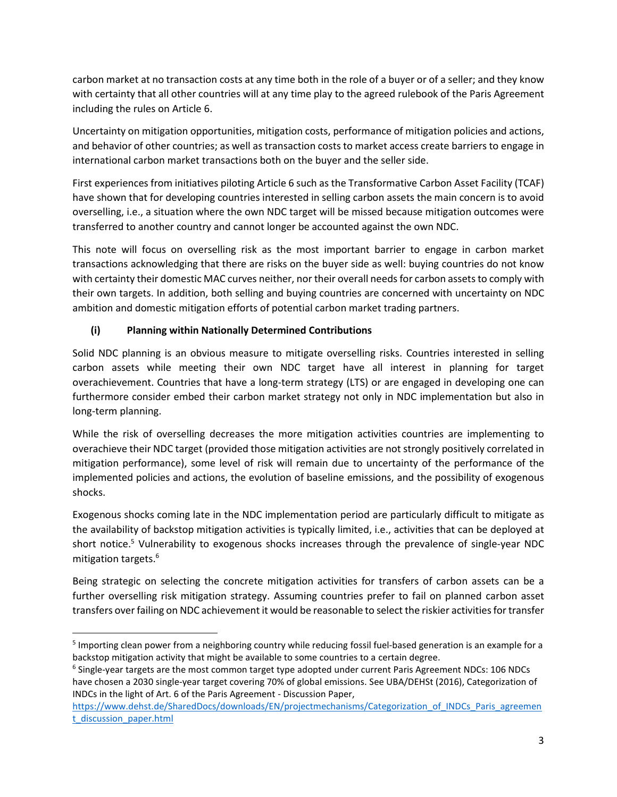carbon market at no transaction costs at any time both in the role of a buyer or of a seller; and they know with certainty that all other countries will at any time play to the agreed rulebook of the Paris Agreement including the rules on Article 6.

Uncertainty on mitigation opportunities, mitigation costs, performance of mitigation policies and actions, and behavior of other countries; as well as transaction costs to market access create barriers to engage in international carbon market transactions both on the buyer and the seller side.

First experiences from initiatives piloting Article 6 such as the Transformative Carbon Asset Facility (TCAF) have shown that for developing countries interested in selling carbon assets the main concern is to avoid overselling, i.e., a situation where the own NDC target will be missed because mitigation outcomes were transferred to another country and cannot longer be accounted against the own NDC.

This note will focus on overselling risk as the most important barrier to engage in carbon market transactions acknowledging that there are risks on the buyer side as well: buying countries do not know with certainty their domestic MAC curves neither, nor their overall needs for carbon assets to comply with their own targets. In addition, both selling and buying countries are concerned with uncertainty on NDC ambition and domestic mitigation efforts of potential carbon market trading partners.

## **(i) Planning within Nationally Determined Contributions**

Solid NDC planning is an obvious measure to mitigate overselling risks. Countries interested in selling carbon assets while meeting their own NDC target have all interest in planning for target overachievement. Countries that have a long-term strategy (LTS) or are engaged in developing one can furthermore consider embed their carbon market strategy not only in NDC implementation but also in long-term planning.

While the risk of overselling decreases the more mitigation activities countries are implementing to overachieve their NDC target (provided those mitigation activities are not strongly positively correlated in mitigation performance), some level of risk will remain due to uncertainty of the performance of the implemented policies and actions, the evolution of baseline emissions, and the possibility of exogenous shocks.

Exogenous shocks coming late in the NDC implementation period are particularly difficult to mitigate as the availability of backstop mitigation activities is typically limited, i.e., activities that can be deployed at short notice. <sup>5</sup> Vulnerability to exogenous shocks increases through the prevalence of single-year NDC mitigation targets. 6

Being strategic on selecting the concrete mitigation activities for transfers of carbon assets can be a further overselling risk mitigation strategy. Assuming countries prefer to fail on planned carbon asset transfers over failing on NDC achievement it would be reasonable to select the riskier activities for transfer

<sup>&</sup>lt;sup>5</sup> Importing clean power from a neighboring country while reducing fossil fuel-based generation is an example for a backstop mitigation activity that might be available to some countries to a certain degree.

<sup>&</sup>lt;sup>6</sup> Single-year targets are the most common target type adopted under current Paris Agreement NDCs: 106 NDCs have chosen a 2030 single-year target covering 70% of global emissions. See UBA/DEHSt (2016), Categorization of INDCs in the light of Art. 6 of the Paris Agreement - Discussion Paper,

https://www.dehst.de/SharedDocs/downloads/EN/projectmechanisms/Categorization of INDCs Paris agreemen [t\\_discussion\\_paper.html](https://www.dehst.de/SharedDocs/downloads/EN/projectmechanisms/Categorization_of_INDCs_Paris_agreement_discussion_paper.html)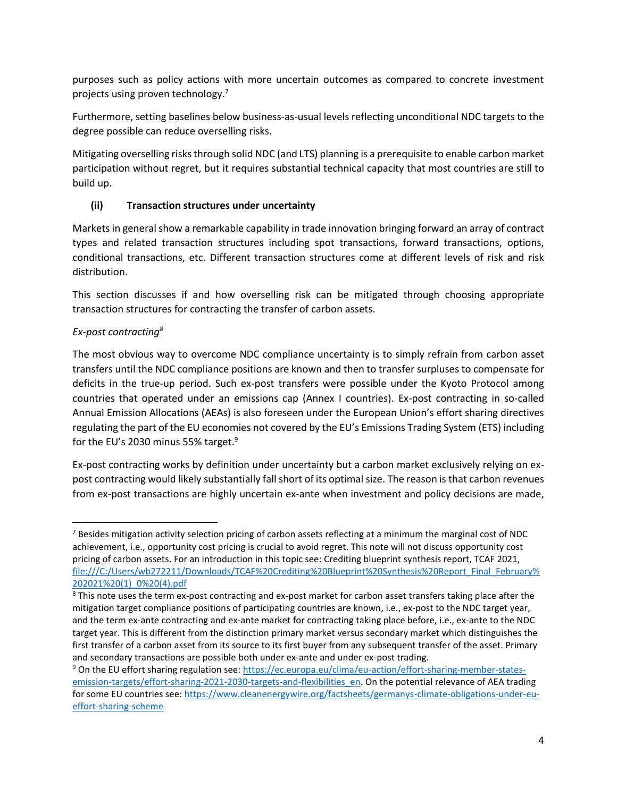purposes such as policy actions with more uncertain outcomes as compared to concrete investment projects using proven technology.<sup>7</sup>

Furthermore, setting baselines below business-as-usual levels reflecting unconditional NDC targets to the degree possible can reduce overselling risks.

Mitigating overselling risks through solid NDC (and LTS) planning is a prerequisite to enable carbon market participation without regret, but it requires substantial technical capacity that most countries are still to build up.

## **(ii) Transaction structures under uncertainty**

Markets in general show a remarkable capability in trade innovation bringing forward an array of contract types and related transaction structures including spot transactions, forward transactions, options, conditional transactions, etc. Different transaction structures come at different levels of risk and risk distribution.

This section discusses if and how overselling risk can be mitigated through choosing appropriate transaction structures for contracting the transfer of carbon assets.

## *Ex-post contracting<sup>8</sup>*

The most obvious way to overcome NDC compliance uncertainty is to simply refrain from carbon asset transfers until the NDC compliance positions are known and then to transfer surpluses to compensate for deficits in the true-up period. Such ex-post transfers were possible under the Kyoto Protocol among countries that operated under an emissions cap (Annex I countries). Ex-post contracting in so-called Annual Emission Allocations (AEAs) is also foreseen under the European Union's effort sharing directives regulating the part of the EU economies not covered by the EU's Emissions Trading System (ETS) including for the EU's 2030 minus 55% target.<sup>9</sup>

Ex-post contracting works by definition under uncertainty but a carbon market exclusively relying on expost contracting would likely substantially fall short of its optimal size. The reason is that carbon revenues from ex-post transactions are highly uncertain ex-ante when investment and policy decisions are made,

<sup>&</sup>lt;sup>7</sup> Besides mitigation activity selection pricing of carbon assets reflecting at a minimum the marginal cost of NDC achievement, i.e., opportunity cost pricing is crucial to avoid regret. This note will not discuss opportunity cost pricing of carbon assets. For an introduction in this topic see: Crediting blueprint synthesis report, TCAF 2021, [file:///C:/Users/wb272211/Downloads/TCAF%20Crediting%20Blueprint%20Synthesis%20Report\\_Final\\_February%](file:///C:/Users/wb272211/Downloads/TCAF%20Crediting%20Blueprint%20Synthesis%20Report_Final_February%202021%20(1)_0%20(4).pdf) [202021%20\(1\)\\_0%20\(4\).pdf](file:///C:/Users/wb272211/Downloads/TCAF%20Crediting%20Blueprint%20Synthesis%20Report_Final_February%202021%20(1)_0%20(4).pdf)

<sup>&</sup>lt;sup>8</sup> This note uses the term ex-post contracting and ex-post market for carbon asset transfers taking place after the mitigation target compliance positions of participating countries are known, i.e., ex-post to the NDC target year, and the term ex-ante contracting and ex-ante market for contracting taking place before, i.e., ex-ante to the NDC target year. This is different from the distinction primary market versus secondary market which distinguishes the first transfer of a carbon asset from its source to its first buyer from any subsequent transfer of the asset. Primary and secondary transactions are possible both under ex-ante and under ex-post trading.

<sup>9</sup> On the EU effort sharing regulation see: [https://ec.europa.eu/clima/eu-action/effort-sharing-member-states](https://ec.europa.eu/clima/eu-action/effort-sharing-member-states-emission-targets/effort-sharing-2021-2030-targets-and-flexibilities_en)[emission-targets/effort-sharing-2021-2030-targets-and-flexibilities\\_en.](https://ec.europa.eu/clima/eu-action/effort-sharing-member-states-emission-targets/effort-sharing-2021-2030-targets-and-flexibilities_en) On the potential relevance of AEA trading for some EU countries see: [https://www.cleanenergywire.org/factsheets/germanys-climate-obligations-under-eu](https://www.cleanenergywire.org/factsheets/germanys-climate-obligations-under-eu-effort-sharing-scheme)[effort-sharing-scheme](https://www.cleanenergywire.org/factsheets/germanys-climate-obligations-under-eu-effort-sharing-scheme)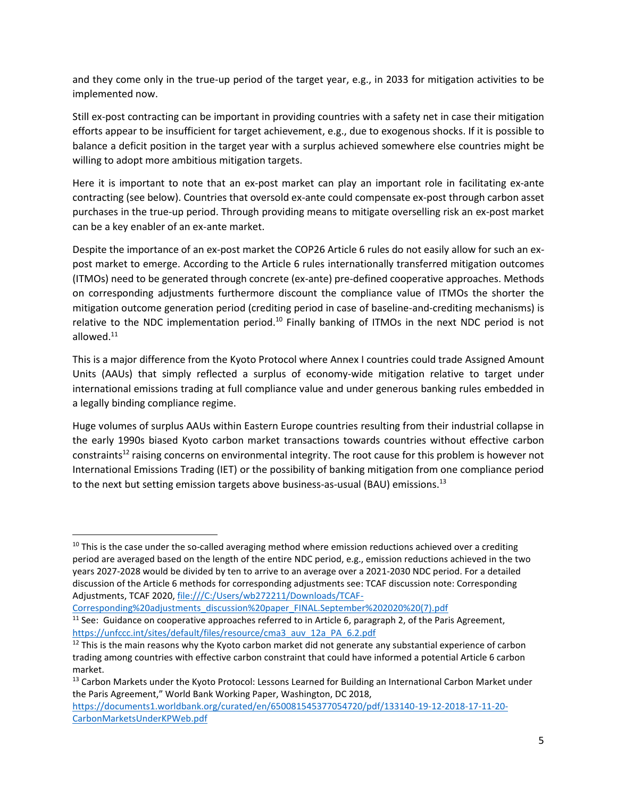and they come only in the true-up period of the target year, e.g., in 2033 for mitigation activities to be implemented now.

Still ex-post contracting can be important in providing countries with a safety net in case their mitigation efforts appear to be insufficient for target achievement, e.g., due to exogenous shocks. If it is possible to balance a deficit position in the target year with a surplus achieved somewhere else countries might be willing to adopt more ambitious mitigation targets.

Here it is important to note that an ex-post market can play an important role in facilitating ex-ante contracting (see below). Countries that oversold ex-ante could compensate ex-post through carbon asset purchases in the true-up period. Through providing means to mitigate overselling risk an ex-post market can be a key enabler of an ex-ante market.

Despite the importance of an ex-post market the COP26 Article 6 rules do not easily allow for such an expost market to emerge. According to the Article 6 rules internationally transferred mitigation outcomes (ITMOs) need to be generated through concrete (ex-ante) pre-defined cooperative approaches. Methods on corresponding adjustments furthermore discount the compliance value of ITMOs the shorter the mitigation outcome generation period (crediting period in case of baseline-and-crediting mechanisms) is relative to the NDC implementation period.<sup>10</sup> Finally banking of ITMOs in the next NDC period is not allowed.<sup>11</sup>

This is a major difference from the Kyoto Protocol where Annex I countries could trade Assigned Amount Units (AAUs) that simply reflected a surplus of economy-wide mitigation relative to target under international emissions trading at full compliance value and under generous banking rules embedded in a legally binding compliance regime.

Huge volumes of surplus AAUs within Eastern Europe countries resulting from their industrial collapse in the early 1990s biased Kyoto carbon market transactions towards countries without effective carbon constraints<sup>12</sup> raising concerns on environmental integrity. The root cause for this problem is however not International Emissions Trading (IET) or the possibility of banking mitigation from one compliance period to the next but setting emission targets above business-as-usual (BAU) emissions.<sup>13</sup>

[Corresponding%20adjustments\\_discussion%20paper\\_FINAL.September%202020%20\(7\).pdf](file:///C:/Users/wb272211/Downloads/TCAF-Corresponding%20adjustments_discussion%20paper_FINAL.September%202020%20(7).pdf)

 $10$  This is the case under the so-called averaging method where emission reductions achieved over a crediting period are averaged based on the length of the entire NDC period, e.g., emission reductions achieved in the two years 2027-2028 would be divided by ten to arrive to an average over a 2021-2030 NDC period. For a detailed discussion of the Article 6 methods for corresponding adjustments see: TCAF discussion note: Corresponding Adjustments, TCAF 2020, [file:///C:/Users/wb272211/Downloads/TCAF-](file:///C:/Users/wb272211/Downloads/TCAF-Corresponding%20adjustments_discussion%20paper_FINAL.September%202020%20(7).pdf)

 $11$  See: Guidance on cooperative approaches referred to in Article 6, paragraph 2, of the Paris Agreement, [https://unfccc.int/sites/default/files/resource/cma3\\_auv\\_12a\\_PA\\_6.2.pdf](https://unfccc.int/sites/default/files/resource/cma3_auv_12a_PA_6.2.pdf)

<sup>&</sup>lt;sup>12</sup> This is the main reasons why the Kyoto carbon market did not generate any substantial experience of carbon trading among countries with effective carbon constraint that could have informed a potential Article 6 carbon market.

<sup>&</sup>lt;sup>13</sup> Carbon Markets under the Kyoto Protocol: Lessons Learned for Building an International Carbon Market under the Paris Agreement," World Bank Working Paper, Washington, DC 2018,

[https://documents1.worldbank.org/curated/en/650081545377054720/pdf/133140-19-12-2018-17-11-20-](https://documents1.worldbank.org/curated/en/650081545377054720/pdf/133140-19-12-2018-17-11-20-CarbonMarketsUnderKPWeb.pdf) [CarbonMarketsUnderKPWeb.pdf](https://documents1.worldbank.org/curated/en/650081545377054720/pdf/133140-19-12-2018-17-11-20-CarbonMarketsUnderKPWeb.pdf)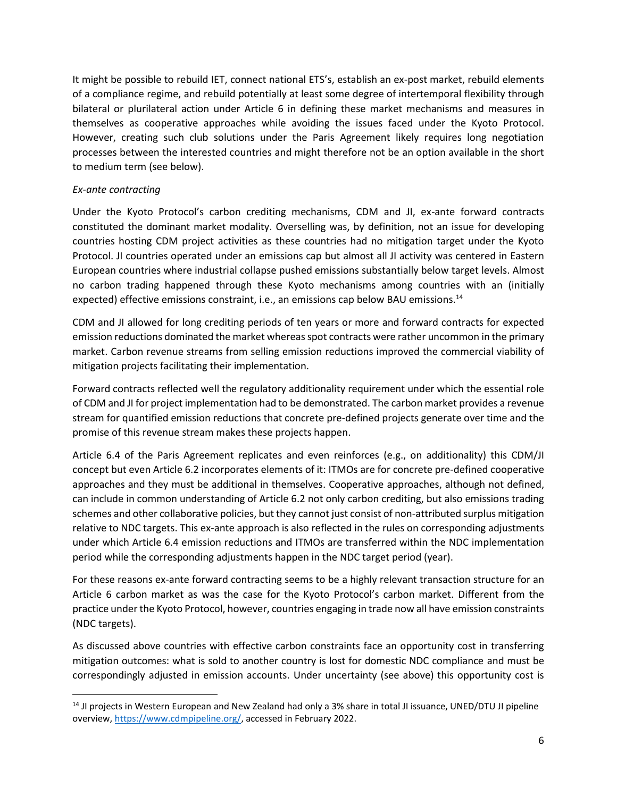It might be possible to rebuild IET, connect national ETS's, establish an ex-post market, rebuild elements of a compliance regime, and rebuild potentially at least some degree of intertemporal flexibility through bilateral or plurilateral action under Article 6 in defining these market mechanisms and measures in themselves as cooperative approaches while avoiding the issues faced under the Kyoto Protocol. However, creating such club solutions under the Paris Agreement likely requires long negotiation processes between the interested countries and might therefore not be an option available in the short to medium term (see below).

#### *Ex-ante contracting*

Under the Kyoto Protocol's carbon crediting mechanisms, CDM and JI, ex-ante forward contracts constituted the dominant market modality. Overselling was, by definition, not an issue for developing countries hosting CDM project activities as these countries had no mitigation target under the Kyoto Protocol. JI countries operated under an emissions cap but almost all JI activity was centered in Eastern European countries where industrial collapse pushed emissions substantially below target levels. Almost no carbon trading happened through these Kyoto mechanisms among countries with an (initially expected) effective emissions constraint, i.e., an emissions cap below BAU emissions.<sup>14</sup>

CDM and JI allowed for long crediting periods of ten years or more and forward contracts for expected emission reductions dominated the market whereas spot contracts were rather uncommon in the primary market. Carbon revenue streams from selling emission reductions improved the commercial viability of mitigation projects facilitating their implementation.

Forward contracts reflected well the regulatory additionality requirement under which the essential role of CDM and JI for project implementation had to be demonstrated. The carbon market provides a revenue stream for quantified emission reductions that concrete pre-defined projects generate over time and the promise of this revenue stream makes these projects happen.

Article 6.4 of the Paris Agreement replicates and even reinforces (e.g., on additionality) this CDM/JI concept but even Article 6.2 incorporates elements of it: ITMOs are for concrete pre-defined cooperative approaches and they must be additional in themselves. Cooperative approaches, although not defined, can include in common understanding of Article 6.2 not only carbon crediting, but also emissions trading schemes and other collaborative policies, but they cannot just consist of non-attributed surplus mitigation relative to NDC targets. This ex-ante approach is also reflected in the rules on corresponding adjustments under which Article 6.4 emission reductions and ITMOs are transferred within the NDC implementation period while the corresponding adjustments happen in the NDC target period (year).

For these reasons ex-ante forward contracting seems to be a highly relevant transaction structure for an Article 6 carbon market as was the case for the Kyoto Protocol's carbon market. Different from the practice under the Kyoto Protocol, however, countries engaging in trade now all have emission constraints (NDC targets).

As discussed above countries with effective carbon constraints face an opportunity cost in transferring mitigation outcomes: what is sold to another country is lost for domestic NDC compliance and must be correspondingly adjusted in emission accounts. Under uncertainty (see above) this opportunity cost is

<sup>&</sup>lt;sup>14</sup> JI projects in Western European and New Zealand had only a 3% share in total JI issuance, UNED/DTU JI pipeline overview, [https://www.cdmpipeline.org/,](https://www.cdmpipeline.org/) accessed in February 2022.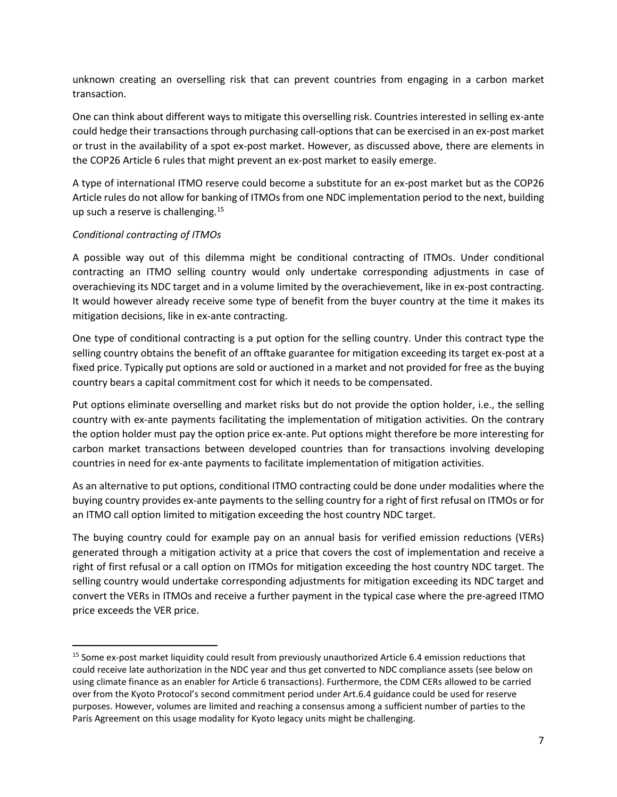unknown creating an overselling risk that can prevent countries from engaging in a carbon market transaction.

One can think about different ways to mitigate this overselling risk. Countries interested in selling ex-ante could hedge their transactions through purchasing call-options that can be exercised in an ex-post market or trust in the availability of a spot ex-post market. However, as discussed above, there are elements in the COP26 Article 6 rules that might prevent an ex-post market to easily emerge.

A type of international ITMO reserve could become a substitute for an ex-post market but as the COP26 Article rules do not allow for banking of ITMOs from one NDC implementation period to the next, building up such a reserve is challenging. $15$ 

#### *Conditional contracting of ITMOs*

A possible way out of this dilemma might be conditional contracting of ITMOs. Under conditional contracting an ITMO selling country would only undertake corresponding adjustments in case of overachieving its NDC target and in a volume limited by the overachievement, like in ex-post contracting. It would however already receive some type of benefit from the buyer country at the time it makes its mitigation decisions, like in ex-ante contracting.

One type of conditional contracting is a put option for the selling country. Under this contract type the selling country obtains the benefit of an offtake guarantee for mitigation exceeding its target ex-post at a fixed price. Typically put options are sold or auctioned in a market and not provided for free as the buying country bears a capital commitment cost for which it needs to be compensated.

Put options eliminate overselling and market risks but do not provide the option holder, i.e., the selling country with ex-ante payments facilitating the implementation of mitigation activities. On the contrary the option holder must pay the option price ex-ante. Put options might therefore be more interesting for carbon market transactions between developed countries than for transactions involving developing countries in need for ex-ante payments to facilitate implementation of mitigation activities.

As an alternative to put options, conditional ITMO contracting could be done under modalities where the buying country provides ex-ante payments to the selling country for a right of first refusal on ITMOs or for an ITMO call option limited to mitigation exceeding the host country NDC target.

The buying country could for example pay on an annual basis for verified emission reductions (VERs) generated through a mitigation activity at a price that covers the cost of implementation and receive a right of first refusal or a call option on ITMOs for mitigation exceeding the host country NDC target. The selling country would undertake corresponding adjustments for mitigation exceeding its NDC target and convert the VERs in ITMOs and receive a further payment in the typical case where the pre-agreed ITMO price exceeds the VER price.

<sup>&</sup>lt;sup>15</sup> Some ex-post market liquidity could result from previously unauthorized Article 6.4 emission reductions that could receive late authorization in the NDC year and thus get converted to NDC compliance assets (see below on using climate finance as an enabler for Article 6 transactions). Furthermore, the CDM CERs allowed to be carried over from the Kyoto Protocol's second commitment period under Art.6.4 guidance could be used for reserve purposes. However, volumes are limited and reaching a consensus among a sufficient number of parties to the Paris Agreement on this usage modality for Kyoto legacy units might be challenging.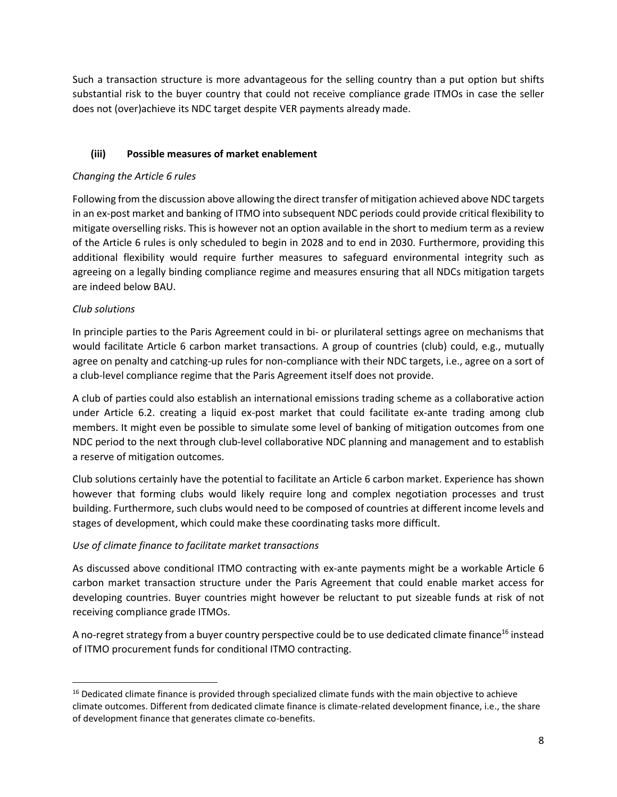Such a transaction structure is more advantageous for the selling country than a put option but shifts substantial risk to the buyer country that could not receive compliance grade ITMOs in case the seller does not (over)achieve its NDC target despite VER payments already made.

#### **(iii) Possible measures of market enablement**

#### *Changing the Article 6 rules*

Following from the discussion above allowing the direct transfer of mitigation achieved above NDC targets in an ex-post market and banking of ITMO into subsequent NDC periods could provide critical flexibility to mitigate overselling risks. This is however not an option available in the short to medium term as a review of the Article 6 rules is only scheduled to begin in 2028 and to end in 2030. Furthermore, providing this additional flexibility would require further measures to safeguard environmental integrity such as agreeing on a legally binding compliance regime and measures ensuring that all NDCs mitigation targets are indeed below BAU.

#### *Club solutions*

In principle parties to the Paris Agreement could in bi- or plurilateral settings agree on mechanisms that would facilitate Article 6 carbon market transactions. A group of countries (club) could, e.g., mutually agree on penalty and catching-up rules for non-compliance with their NDC targets, i.e., agree on a sort of a club-level compliance regime that the Paris Agreement itself does not provide.

A club of parties could also establish an international emissions trading scheme as a collaborative action under Article 6.2. creating a liquid ex-post market that could facilitate ex-ante trading among club members. It might even be possible to simulate some level of banking of mitigation outcomes from one NDC period to the next through club-level collaborative NDC planning and management and to establish a reserve of mitigation outcomes.

Club solutions certainly have the potential to facilitate an Article 6 carbon market. Experience has shown however that forming clubs would likely require long and complex negotiation processes and trust building. Furthermore, such clubs would need to be composed of countries at different income levels and stages of development, which could make these coordinating tasks more difficult.

#### *Use of climate finance to facilitate market transactions*

As discussed above conditional ITMO contracting with ex-ante payments might be a workable Article 6 carbon market transaction structure under the Paris Agreement that could enable market access for developing countries. Buyer countries might however be reluctant to put sizeable funds at risk of not receiving compliance grade ITMOs.

A no-regret strategy from a buyer country perspective could be to use dedicated climate finance<sup>16</sup> instead of ITMO procurement funds for conditional ITMO contracting.

<sup>&</sup>lt;sup>16</sup> Dedicated climate finance is provided through specialized climate funds with the main objective to achieve climate outcomes. Different from dedicated climate finance is climate-related development finance, i.e., the share of development finance that generates climate co-benefits.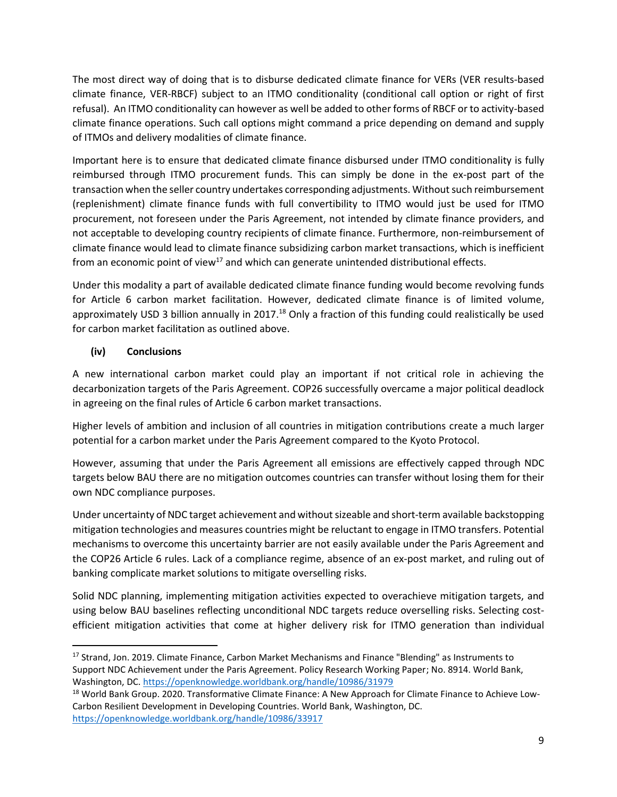The most direct way of doing that is to disburse dedicated climate finance for VERs (VER results-based climate finance, VER-RBCF) subject to an ITMO conditionality (conditional call option or right of first refusal). An ITMO conditionality can however as well be added to other forms of RBCF or to activity-based climate finance operations. Such call options might command a price depending on demand and supply of ITMOs and delivery modalities of climate finance.

Important here is to ensure that dedicated climate finance disbursed under ITMO conditionality is fully reimbursed through ITMO procurement funds. This can simply be done in the ex-post part of the transaction when the seller country undertakes corresponding adjustments. Without such reimbursement (replenishment) climate finance funds with full convertibility to ITMO would just be used for ITMO procurement, not foreseen under the Paris Agreement, not intended by climate finance providers, and not acceptable to developing country recipients of climate finance. Furthermore, non-reimbursement of climate finance would lead to climate finance subsidizing carbon market transactions, which is inefficient from an economic point of view<sup>17</sup> and which can generate unintended distributional effects.

Under this modality a part of available dedicated climate finance funding would become revolving funds for Article 6 carbon market facilitation. However, dedicated climate finance is of limited volume, approximately USD 3 billion annually in 2017.<sup>18</sup> Only a fraction of this funding could realistically be used for carbon market facilitation as outlined above.

## **(iv) Conclusions**

A new international carbon market could play an important if not critical role in achieving the decarbonization targets of the Paris Agreement. COP26 successfully overcame a major political deadlock in agreeing on the final rules of Article 6 carbon market transactions.

Higher levels of ambition and inclusion of all countries in mitigation contributions create a much larger potential for a carbon market under the Paris Agreement compared to the Kyoto Protocol.

However, assuming that under the Paris Agreement all emissions are effectively capped through NDC targets below BAU there are no mitigation outcomes countries can transfer without losing them for their own NDC compliance purposes.

Under uncertainty of NDC target achievement and without sizeable and short-term available backstopping mitigation technologies and measures countries might be reluctant to engage in ITMO transfers. Potential mechanisms to overcome this uncertainty barrier are not easily available under the Paris Agreement and the COP26 Article 6 rules. Lack of a compliance regime, absence of an ex-post market, and ruling out of banking complicate market solutions to mitigate overselling risks.

Solid NDC planning, implementing mitigation activities expected to overachieve mitigation targets, and using below BAU baselines reflecting unconditional NDC targets reduce overselling risks. Selecting costefficient mitigation activities that come at higher delivery risk for ITMO generation than individual

<sup>&</sup>lt;sup>17</sup> Strand, Jon. 2019. Climate Finance, Carbon Market Mechanisms and Finance "Blending" as Instruments to Support NDC Achievement under the Paris Agreement. Policy Research Working Paper; No. 8914. World Bank, Washington, DC.<https://openknowledge.worldbank.org/handle/10986/31979>

<sup>&</sup>lt;sup>18</sup> World Bank Group. 2020. Transformative Climate Finance: A New Approach for Climate Finance to Achieve Low-Carbon Resilient Development in Developing Countries. World Bank, Washington, DC. <https://openknowledge.worldbank.org/handle/10986/33917>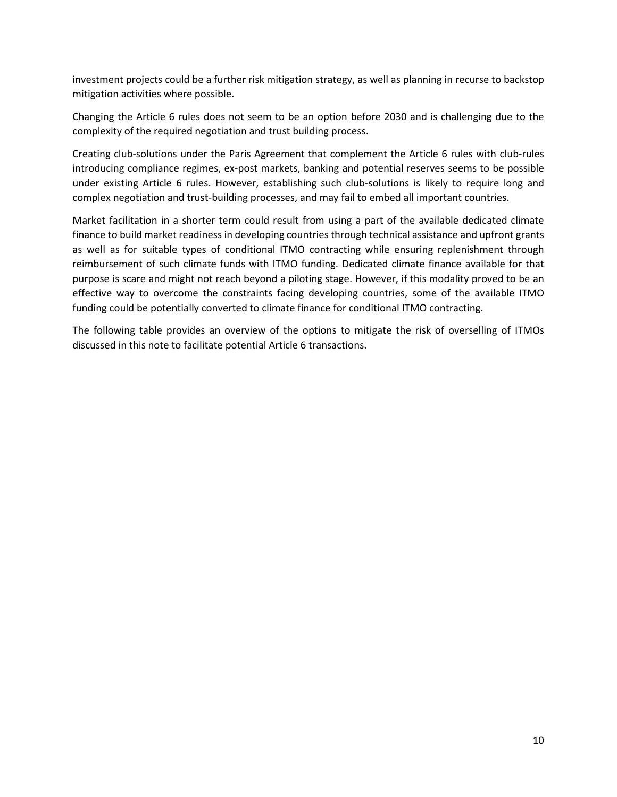investment projects could be a further risk mitigation strategy, as well as planning in recurse to backstop mitigation activities where possible.

Changing the Article 6 rules does not seem to be an option before 2030 and is challenging due to the complexity of the required negotiation and trust building process.

Creating club-solutions under the Paris Agreement that complement the Article 6 rules with club-rules introducing compliance regimes, ex-post markets, banking and potential reserves seems to be possible under existing Article 6 rules. However, establishing such club-solutions is likely to require long and complex negotiation and trust-building processes, and may fail to embed all important countries.

Market facilitation in a shorter term could result from using a part of the available dedicated climate finance to build market readiness in developing countries through technical assistance and upfront grants as well as for suitable types of conditional ITMO contracting while ensuring replenishment through reimbursement of such climate funds with ITMO funding. Dedicated climate finance available for that purpose is scare and might not reach beyond a piloting stage. However, if this modality proved to be an effective way to overcome the constraints facing developing countries, some of the available ITMO funding could be potentially converted to climate finance for conditional ITMO contracting.

The following table provides an overview of the options to mitigate the risk of overselling of ITMOs discussed in this note to facilitate potential Article 6 transactions.